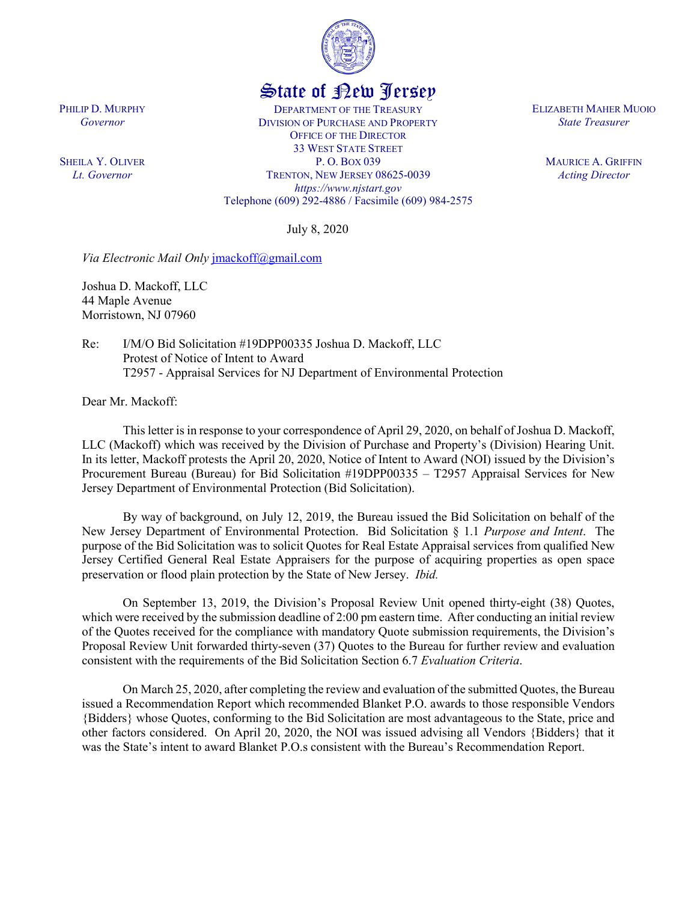

## State of New Jersey

DEPARTMENT OF THE TREASURY DIVISION OF PURCHASE AND PROPERTY OFFICE OF THE DIRECTOR 33 WEST STATE STREET P. O. BOX 039 TRENTON, NEW JERSEY 08625-0039 *https://www.njstart.gov* Telephone (609) 292-4886 / Facsimile (609) 984-2575

July 8, 2020

*Via Electronic Mail Only* [jmackoff@gmail.com](mailto:jmackoff@gmail.com)

Joshua D. Mackoff, LLC 44 Maple Avenue Morristown, NJ 07960

PHILIP D. MURPHY *Governor*

SHEILA Y. OLIVER *Lt. Governor*

> Re: I/M/O Bid Solicitation #19DPP00335 Joshua D. Mackoff, LLC Protest of Notice of Intent to Award T2957 - Appraisal Services for NJ Department of Environmental Protection

Dear Mr. Mackoff:

This letter is in response to your correspondence of April 29, 2020, on behalf of Joshua D. Mackoff, LLC (Mackoff) which was received by the Division of Purchase and Property's (Division) Hearing Unit. In its letter, Mackoff protests the April 20, 2020, Notice of Intent to Award (NOI) issued by the Division's Procurement Bureau (Bureau) for Bid Solicitation #19DPP00335 – T2957 Appraisal Services for New Jersey Department of Environmental Protection (Bid Solicitation).

By way of background, on July 12, 2019, the Bureau issued the Bid Solicitation on behalf of the New Jersey Department of Environmental Protection. Bid Solicitation § 1.1 *Purpose and Intent*. The purpose of the Bid Solicitation was to solicit Quotes for Real Estate Appraisal services from qualified New Jersey Certified General Real Estate Appraisers for the purpose of acquiring properties as open space preservation or flood plain protection by the State of New Jersey. *Ibid.*

On September 13, 2019, the Division's Proposal Review Unit opened thirty-eight (38) Quotes, which were received by the submission deadline of 2:00 pm eastern time. After conducting an initial review of the Quotes received for the compliance with mandatory Quote submission requirements, the Division's Proposal Review Unit forwarded thirty-seven (37) Quotes to the Bureau for further review and evaluation consistent with the requirements of the Bid Solicitation Section 6.7 *Evaluation Criteria*.

On March 25, 2020, after completing the review and evaluation of the submitted Quotes, the Bureau issued a Recommendation Report which recommended Blanket P.O. awards to those responsible Vendors {Bidders} whose Quotes, conforming to the Bid Solicitation are most advantageous to the State, price and other factors considered. On April 20, 2020, the NOI was issued advising all Vendors {Bidders} that it was the State's intent to award Blanket P.O.s consistent with the Bureau's Recommendation Report.

ELIZABETH MAHER MUOIO *State Treasurer*

> MAURICE A. GRIFFIN *Acting Director*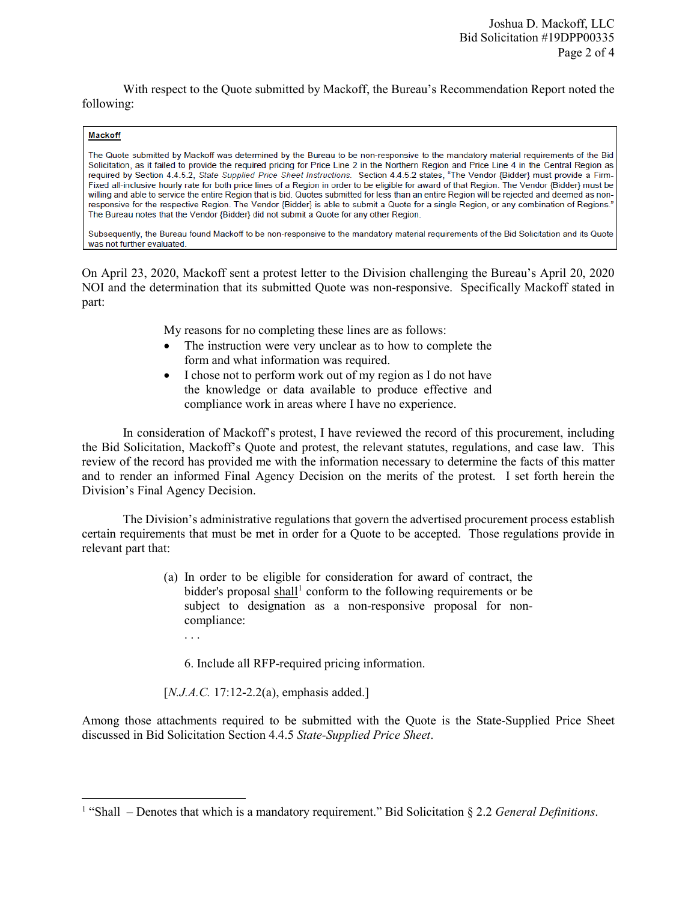With respect to the Quote submitted by Mackoff, the Bureau's Recommendation Report noted the following:

## **Mackoff**

The Quote submitted by Mackoff was determined by the Bureau to be non-responsive to the mandatory material requirements of the Bid Solicitation, as it failed to provide the required pricing for Price Line 2 in the Northern Region and Price Line 4 in the Central Region as required by Section 4.4.5.2, State Supplied Price Sheet Instructions. Section 4.4.5.2 states, "The Vendor (Bidder) must provide a Firm-Fixed all-inclusive hourly rate for both price lines of a Region in order to be eligible for award of that Region. The Vendor (Bidder) must be willing and able to service the entire Region that is bid. Quotes submitted for less than an entire Region will be rejected and deemed as nonresponsive for the respective Region. The Vendor {Bidder} is able to submit a Quote for a single Region, or any combination of Regions." The Bureau notes that the Vendor {Bidder} did not submit a Quote for any other Region.

Subsequently, the Bureau found Mackoff to be non-responsive to the mandatory material requirements of the Bid Solicitation and its Quote was not further evaluated.

On April 23, 2020, Mackoff sent a protest letter to the Division challenging the Bureau's April 20, 2020 NOI and the determination that its submitted Quote was non-responsive. Specifically Mackoff stated in part:

My reasons for no completing these lines are as follows:

- The instruction were very unclear as to how to complete the form and what information was required.
- I chose not to perform work out of my region as I do not have the knowledge or data available to produce effective and compliance work in areas where I have no experience.

In consideration of Mackoff's protest, I have reviewed the record of this procurement, including the Bid Solicitation, Mackoff's Quote and protest, the relevant statutes, regulations, and case law. This review of the record has provided me with the information necessary to determine the facts of this matter and to render an informed Final Agency Decision on the merits of the protest. I set forth herein the Division's Final Agency Decision.

The Division's administrative regulations that govern the advertised procurement process establish certain requirements that must be met in order for a Quote to be accepted. Those regulations provide in relevant part that:

> (a) In order to be eligible for consideration for award of contract, the bidder's proposal shall<sup>[1](#page-1-0)</sup> conform to the following requirements or be subject to designation as a non-responsive proposal for noncompliance:

6. Include all RFP-required pricing information.

[*N.J.A.C.* 17:12-2.2(a), emphasis added.]

. . .

l

Among those attachments required to be submitted with the Quote is the State-Supplied Price Sheet discussed in Bid Solicitation Section 4.4.5 *State-Supplied Price Sheet*.

<span id="page-1-0"></span><sup>1</sup> "Shall – Denotes that which is a mandatory requirement." Bid Solicitation § 2.2 *General Definitions*.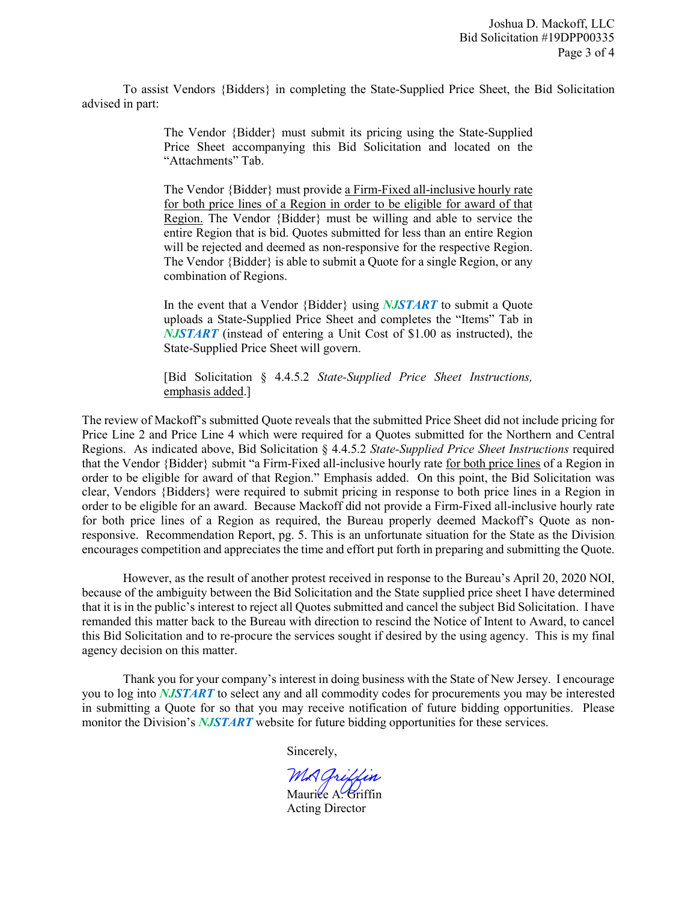To assist Vendors {Bidders} in completing the State-Supplied Price Sheet, the Bid Solicitation advised in part:

> The Vendor {Bidder} must submit its pricing using the State-Supplied Price Sheet accompanying this Bid Solicitation and located on the "Attachments" Tab.

> The Vendor {Bidder} must provide a Firm-Fixed all-inclusive hourly rate for both price lines of a Region in order to be eligible for award of that Region. The Vendor {Bidder} must be willing and able to service the entire Region that is bid. Quotes submitted for less than an entire Region will be rejected and deemed as non-responsive for the respective Region. The Vendor {Bidder} is able to submit a Quote for a single Region, or any combination of Regions.

> In the event that a Vendor {Bidder} using *NJSTART* to submit a Quote uploads a State-Supplied Price Sheet and completes the "Items" Tab in *NJSTART* (instead of entering a Unit Cost of \$1.00 as instructed), the State-Supplied Price Sheet will govern.

> [Bid Solicitation § 4.4.5.2 *State-Supplied Price Sheet Instructions,* emphasis added.]

The review of Mackoff's submitted Quote reveals that the submitted Price Sheet did not include pricing for Price Line 2 and Price Line 4 which were required for a Quotes submitted for the Northern and Central Regions. As indicated above, Bid Solicitation § 4.4.5.2 *State-Supplied Price Sheet Instructions* required that the Vendor {Bidder} submit "a Firm-Fixed all-inclusive hourly rate for both price lines of a Region in order to be eligible for award of that Region." Emphasis added. On this point, the Bid Solicitation was clear, Vendors {Bidders} were required to submit pricing in response to both price lines in a Region in order to be eligible for an award. Because Mackoff did not provide a Firm-Fixed all-inclusive hourly rate for both price lines of a Region as required, the Bureau properly deemed Mackoff's Quote as nonresponsive. Recommendation Report, pg. 5. This is an unfortunate situation for the State as the Division encourages competition and appreciates the time and effort put forth in preparing and submitting the Quote.

However, as the result of another protest received in response to the Bureau's April 20, 2020 NOI, because of the ambiguity between the Bid Solicitation and the State supplied price sheet I have determined that it is in the public's interest to reject all Quotes submitted and cancel the subject Bid Solicitation. I have remanded this matter back to the Bureau with direction to rescind the Notice of Intent to Award, to cancel this Bid Solicitation and to re-procure the services sought if desired by the using agency. This is my final agency decision on this matter.

Thank you for your company's interest in doing business with the State of New Jersey. I encourage you to log into *NJSTART* to select any and all commodity codes for procurements you may be interested in submitting a Quote for so that you may receive notification of future bidding opportunities. Please monitor the Division's *NJSTART* website for future bidding opportunities for these services.

Sincerely,

MA Griffin Maurice A. Griffin

Acting Director